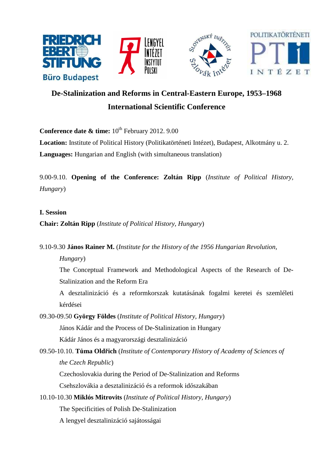

# **De-Stalinization and Reforms in Central-Eastern Europe, 1953–1968 International Scientific Conference**

**Conference date & time:**  $10^{th}$  February 2012. 9.00

**Location:** Institute of Political History (Politikatörténeti Intézet), Budapest, Alkotmány u. 2. **Languages:** Hungarian and English (with simultaneous translation)

9.00-9.10. **Opening of the Conference: Zoltán Ripp** (*Institute of Political History, Hungary*)

# **I. Session**

# **Chair: Zoltán Ripp** (*Institute of Political History, Hungary*)

9.10-9.30 **János Rainer M.** (*Institute for the History of the 1956 Hungarian Revolution,* 

*Hungary*)

The Conceptual Framework and Methodological Aspects of the Research of De-Stalinization and the Reform Era

A desztalinizáció és a reformkorszak kutatásának fogalmi keretei és szemléleti kérdései

09.30-09.50 **György Földes** (*Institute of Political History, Hungary*)

János Kádár and the Process of De-Stalinization in Hungary

Kádár János és a magyarországi desztalinizáció

09.50-10.10. **Tůma Oldřich** (*Institute of Contemporary History of Academy of Sciences of the Czech Republic*)

Czechoslovakia during the Period of De-Stalinization and Reforms Csehszlovákia a desztalinizáció és a reformok időszakában

10.10-10.30 **Miklós Mitrovits** (*Institute of Political History, Hungary*) The Specificities of Polish De-Stalinization

A lengyel desztalinizáció sajátosságai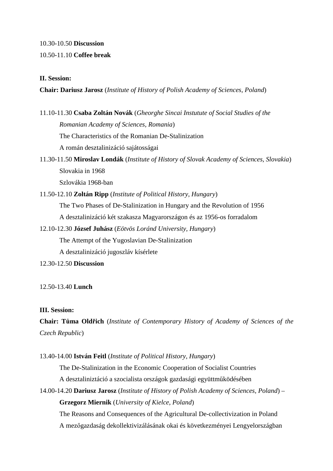# 10.30-10.50 **Discussion**

# 10.50-11.10 **Coffee break**

# **II. Session:**

# **Chair: Dariusz Jarosz** (*Institute of History of Polish Academy of Sciences, Poland*)

- 11.10-11.30 **Csaba Zoltán Novák** (*Gheorghe Sincai Instutute of Social Studies of the Romanian Academy of Sciences, Romania*) The Characteristics of the Romanian De-Stalinization A román desztalinizáció sajátosságai
- 11.30-11.50 **Miroslav Londák** (*Institute of History of Slovak Academy of Sciences, Slovakia*) Slovakia in 1968 Szlovákia 1968-ban
- 11.50-12.10 **Zoltán Ripp** (*Institute of Political History, Hungary*) The Two Phases of De-Stalinization in Hungary and the Revolution of 1956 A desztalinizáció két szakasza Magyarországon és az 1956-os forradalom
- 12.10-12.30 **József Juhász** (*Eötvös Loránd University, Hungary*) The Attempt of the Yugoslavian De-Stalinization A desztalinizáció jugoszláv kísérlete
- 12.30-12.50 **Discussion**

#### 12.50-13.40 **Lunch**

# **III. Session:**

**Chair: Tůma Oldřich** (*Institute of Contemporary History of Academy of Sciences of the Czech Republic*)

#### 13.40-14.00 **István Feitl** (*Institute of Political History, Hungary*)

The De-Stalinization in the Economic Cooperation of Socialist Countries A desztaliniztáció a szocialista országok gazdasági együttműködésében

14.00-14.20 **Dariusz Jarosz** (*Institute of History of Polish Academy of Sciences, Poland*) – **Grzegorz Miernik** (*University of Kielce, Poland*)

The Reasons and Consequences of the Agricultural De-collectivization in Poland A mezőgazdaság dekollektivizálásának okai és következményei Lengyelországban